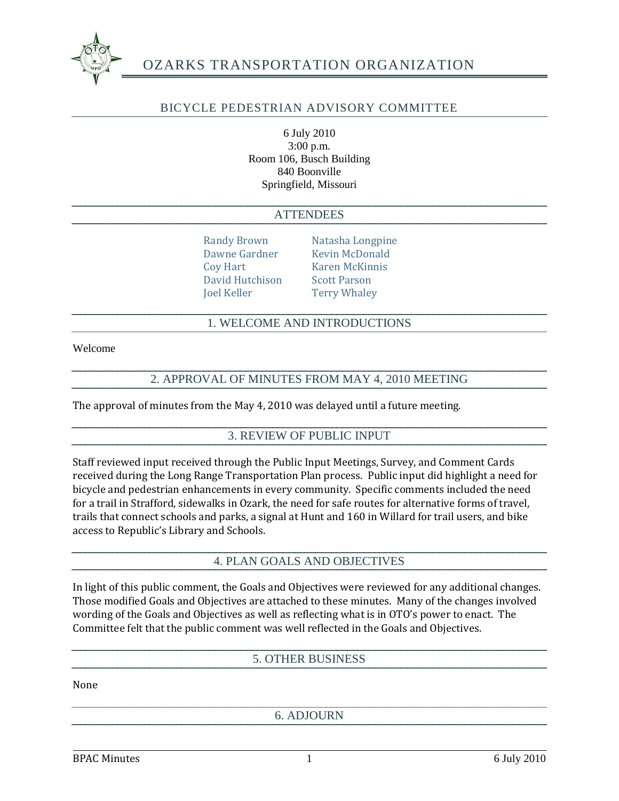

## OZARKS TRANSPORTATION ORGANIZATION

#### BICYCLE PEDESTRIAN ADVISORY COMMITTEE

6 July 2010 3:00 p.m. Room 106, Busch Building 840 Boonville Springfield, Missouri

#### **ATTENDEES**

Coy Hart Karen McKinnis David Hutchison Scott Parson Joel Keller Terry Whaley

Randy Brown Natasha Longpine Dawne Gardner Kevin McDonald

#### 1. WELCOME AND INTRODUCTIONS

Welcome

#### 2. APPROVAL OF MINUTES FROM MAY 4, 2010 MEETING

The approval of minutes from the May 4, 2010 was delayed until a future meeting.

#### 3. REVIEW OF PUBLIC INPUT

Staff reviewed input received through the Public Input Meetings, Survey, and Comment Cards received during the Long Range Transportation Plan process. Public input did highlight a need for bicycle and pedestrian enhancements in every community. Specific comments included the need for a trail in Strafford, sidewalks in Ozark, the need for safe routes for alternative forms of travel, trails that connect schools and parks, a signal at Hunt and 160 in Willard for trail users, and bike access to Republic's Library and Schools.

#### 4. PLAN GOALS AND OBJECTIVES

In light of this public comment, the Goals and Objectives were reviewed for any additional changes. Those modified Goals and Objectives are attached to these minutes. Many of the changes involved wording of the Goals and Objectives as well as reflecting what is in OTO's power to enact. The Committee felt that the public comment was well reflected in the Goals and Objectives.

#### 5. OTHER BUSINESS

None

6. ADJOURN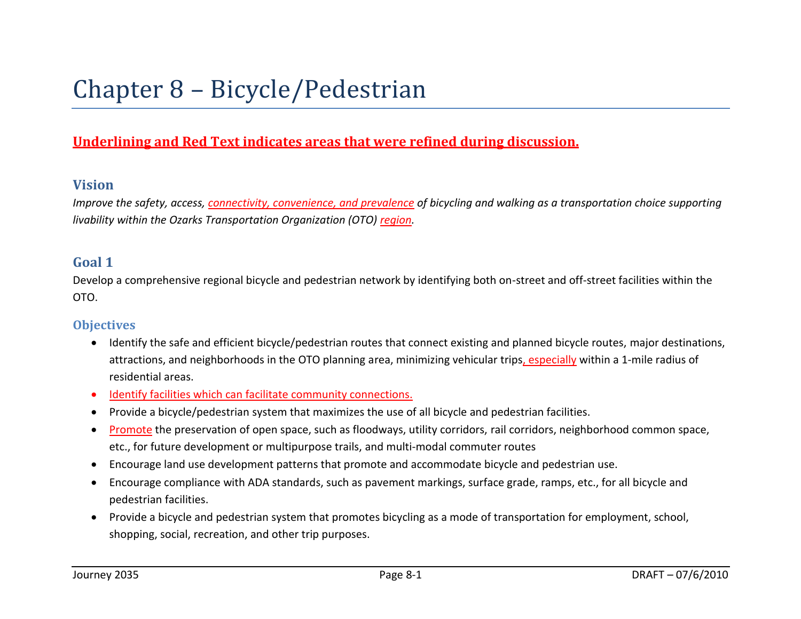# Chapter 8 – Bicycle/Pedestrian

# **Underlining and Red Text indicates areas that were refined during discussion.**

### **Vision**

*Improve the safety, access, connectivity, convenience, and prevalence of bicycling and walking as a transportation choice supporting livability within the Ozarks Transportation Organization (OTO) region.*

## **Goal 1**

Develop a comprehensive regional bicycle and pedestrian network by identifying both on-street and off-street facilities within the OTO.

- Identify the safe and efficient bicycle/pedestrian routes that connect existing and planned bicycle routes, major destinations, attractions, and neighborhoods in the OTO planning area, minimizing vehicular trips, especially within a 1-mile radius of residential areas.
- Identify facilities which can facilitate community connections.
- Provide a bicycle/pedestrian system that maximizes the use of all bicycle and pedestrian facilities.
- Promote the preservation of open space, such as floodways, utility corridors, rail corridors, neighborhood common space, etc., for future development or multipurpose trails, and multi-modal commuter routes
- Encourage land use development patterns that promote and accommodate bicycle and pedestrian use.
- Encourage compliance with ADA standards, such as pavement markings, surface grade, ramps, etc., for all bicycle and pedestrian facilities.
- Provide a bicycle and pedestrian system that promotes bicycling as a mode of transportation for employment, school, shopping, social, recreation, and other trip purposes.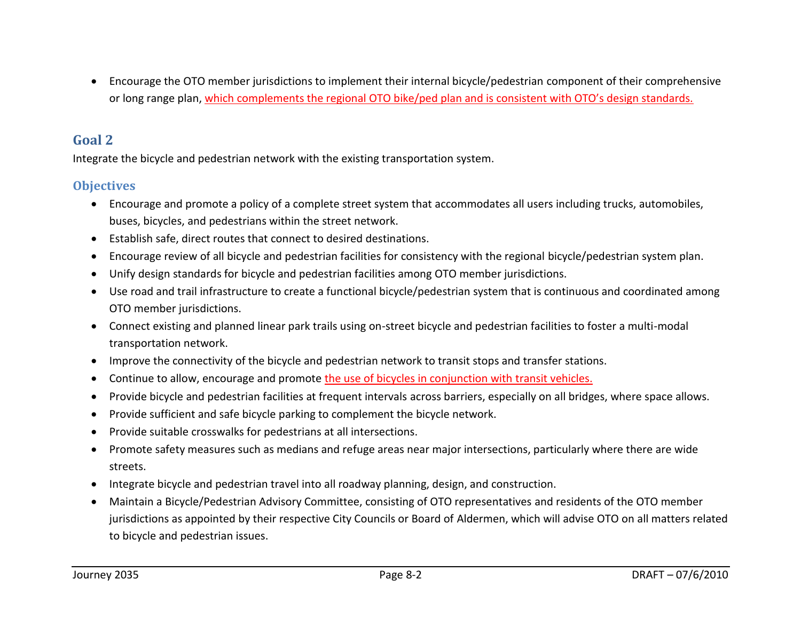Encourage the OTO member jurisdictions to implement their internal bicycle/pedestrian component of their comprehensive or long range plan, which complements the regional OTO bike/ped plan and is consistent with OTO's design standards.

## **Goal 2**

Integrate the bicycle and pedestrian network with the existing transportation system.

- Encourage and promote a policy of a complete street system that accommodates all users including trucks, automobiles, buses, bicycles, and pedestrians within the street network.
- Establish safe, direct routes that connect to desired destinations.
- Encourage review of all bicycle and pedestrian facilities for consistency with the regional bicycle/pedestrian system plan.
- Unify design standards for bicycle and pedestrian facilities among OTO member jurisdictions.
- Use road and trail infrastructure to create a functional bicycle/pedestrian system that is continuous and coordinated among OTO member jurisdictions.
- Connect existing and planned linear park trails using on-street bicycle and pedestrian facilities to foster a multi-modal transportation network.
- Improve the connectivity of the bicycle and pedestrian network to transit stops and transfer stations.
- Continue to allow, encourage and promote the use of bicycles in conjunction with transit vehicles.
- Provide bicycle and pedestrian facilities at frequent intervals across barriers, especially on all bridges, where space allows.
- Provide sufficient and safe bicycle parking to complement the bicycle network.
- Provide suitable crosswalks for pedestrians at all intersections.
- Promote safety measures such as medians and refuge areas near major intersections, particularly where there are wide streets.
- Integrate bicycle and pedestrian travel into all roadway planning, design, and construction.
- Maintain a Bicycle/Pedestrian Advisory Committee, consisting of OTO representatives and residents of the OTO member jurisdictions as appointed by their respective City Councils or Board of Aldermen, which will advise OTO on all matters related to bicycle and pedestrian issues.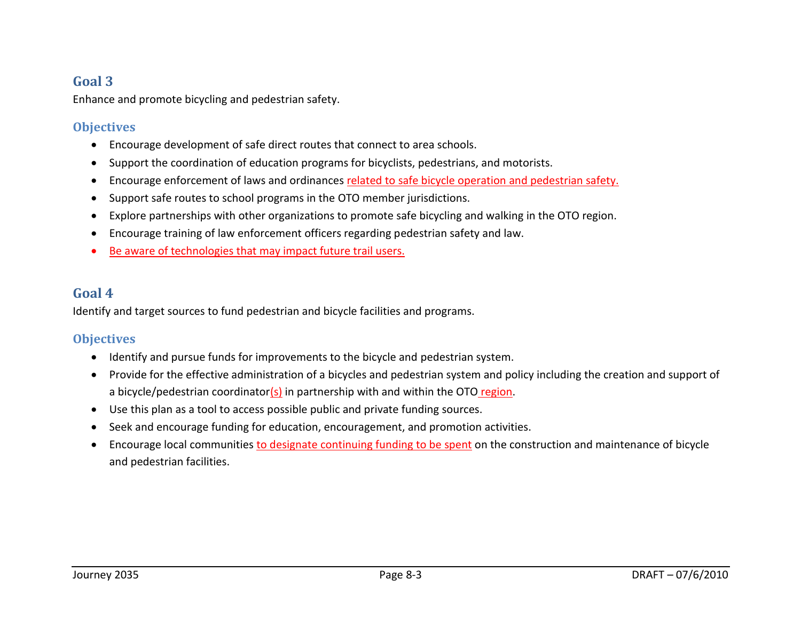# **Goal 3**

Enhance and promote bicycling and pedestrian safety.

## **Objectives**

- Encourage development of safe direct routes that connect to area schools.
- Support the coordination of education programs for bicyclists, pedestrians, and motorists.
- Encourage enforcement of laws and ordinances related to safe bicycle operation and pedestrian safety.
- Support safe routes to school programs in the OTO member jurisdictions.
- Explore partnerships with other organizations to promote safe bicycling and walking in the OTO region.
- Encourage training of law enforcement officers regarding pedestrian safety and law.
- Be aware of technologies that may impact future trail users.

# **Goal 4**

Identify and target sources to fund pedestrian and bicycle facilities and programs.

- Identify and pursue funds for improvements to the bicycle and pedestrian system.
- Provide for the effective administration of a bicycles and pedestrian system and policy including the creation and support of a bicycle/pedestrian coordinator(s) in partnership with and within the OTO region.
- Use this plan as a tool to access possible public and private funding sources.
- Seek and encourage funding for education, encouragement, and promotion activities.
- Encourage local communities to designate continuing funding to be spent on the construction and maintenance of bicycle and pedestrian facilities.